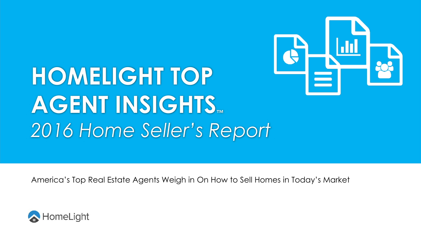

# **HOMELIGHT TOP AGENT INSIGHTS™** *2016 Home Seller's Report*

America's Top Real Estate Agents Weigh in On How to Sell Homes in Today's Market

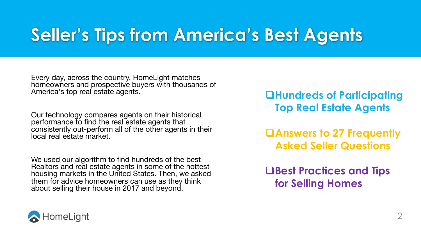### **Seller's Tips from America's Best Agents**

Every day, across the country, HomeLight matches homeowners and prospective buyers with thousands of America's top real estate agents.

Our technology compares agents on their historical performance to find the real estate agents that consistently out-perform all of the other agents in their local real estate market.

We used our algorithm to find hundreds of the best Realtors and real estate agents in some of the hottest housing markets in the United States. Then, we asked them for advice homeowners can use as they think about selling their house in 2017 and beyond.

q**Hundreds of Participating Top Real Estate Agents**

q**Answers to 27 Frequently Asked Seller Questions**

q**Best Practices and Tips for Selling Homes**

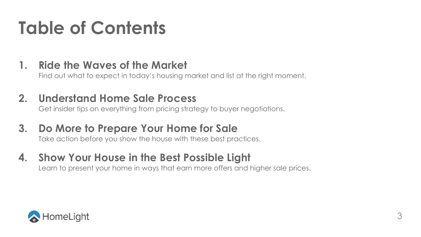### **Table of Contents**

#### **1. Ride the Waves of the Market**

Find out what to expect in today's housing market and list at the right moment.

#### **2. Understand Home Sale Process**

Get insider tips on everything from pricing strategy to buyer negotiations.

#### **3. Do More to Prepare Your Home for Sale**

Take action before you show the house with these best practices.

### **4. Show Your House in the Best Possible Light**

Learn to present your home in ways that earn more offers and higher sale prices.

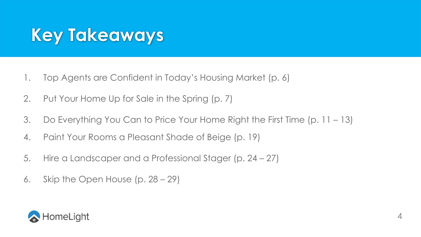### **Key Takeaways**

- 1. Top Agents are Confident in Today's Housing Market (p. 6)
- 2. Put Your Home Up for Sale in the Spring (p. 7)
- 3. Do Everything You Can to Price Your Home Right the First Time (p. 11 13)
- 4. Paint Your Rooms a Pleasant Shade of Beige (p. 19)
- 5. Hire a Landscaper and a Professional Stager (p. 24 27)
- 6. Skip the Open House (p. 28 29)

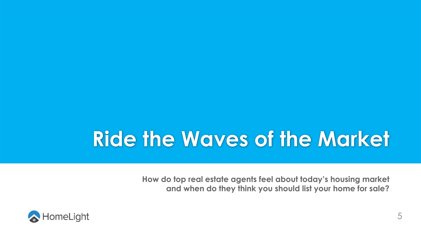## **Ride the Waves of the Market**

**How do top real estate agents feel about today's housing market and when do they think you should list your home for sale?**

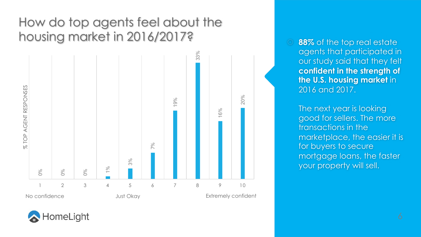#### How do top agents feel about the housing market in 2016/2017?



**88%** of the top real estate agents that participated in our study said that they felt **confident in the strength of the U.S. housing market** in 2016 and 2017.

The next year is looking good for sellers. The more transactions in the marketplace, the easier it is for buyers to secure mortgage loans, the faster your property will sell.

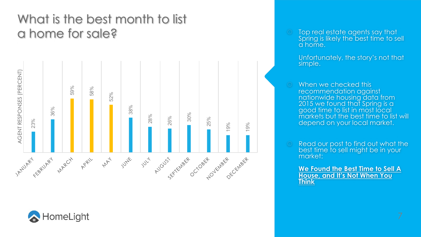#### What is the best month to list a home for sale?





 Top real estate agents say that Spring is likely the best time to sell a home.

Unfortunately, the story's not that simple.

- When we checked this recommendation against nationwide housing data from 2015 we found that Spring is a good time to list in most local markets but the best time to list will depend on your local market.
- Read our post to find out what the best time to sell might be in your market:

**We Found the Best Time to Sell A House, and It's Not When You Think**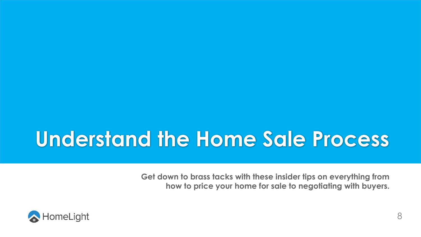### **Understand the Home Sale Process**

**Get down to brass tacks with these insider tips on everything from how to price your home for sale to negotiating with buyers.**

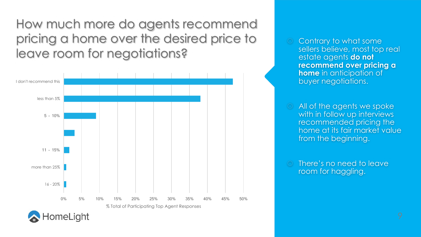How much more do agents recommend pricing a home over the desired price to leave room for negotiations?



- Contrary to what some sellers believe, most top real estate agents **do not recommend over pricing a home** in anticipation of buyer negotiations.
- All of the agents we spoke with in follow up interviews recommended pricing the home at its fair market value from the beginning.
- There's no need to leave room for haggling.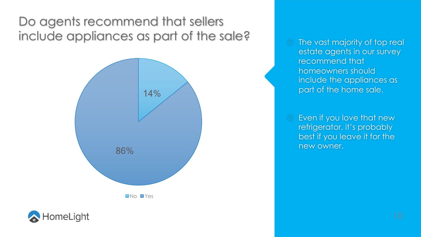#### Do agents recommend that sellers include appliances as part of the sale?





 The vast majority of top real estate agents in our survey recommend that homeowners should include the appliances as part of the home sale.

 Even if you love that new refrigerator, it's probably best if you leave it for the new owner.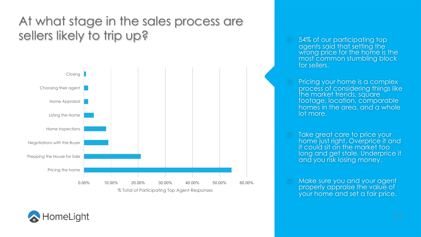#### At what stage in the sales process are sellers likely to trip up?



- 54% of our participating top wrong price for the home is the most common stumbling block for sellers.
- Pricing your home is a complex process of considering things like the market trends, square footage, location, comparable homes in the area, and a whole lot more.
- Take great care to price your home just right. Overprice it and it could sit on the market too long and get stale. Underprice it and you risk losing money.
- Make sure you and your agent properly appraise the value of your home and set a fair price.

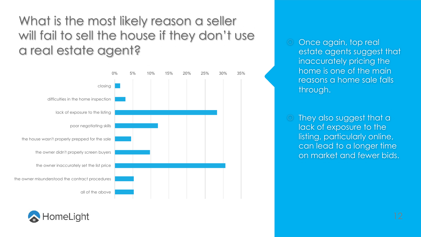#### What is the most likely reason a seller will fail to sell the house if they don't use a real estate agent?





 Once again, top real estate agents suggest that inaccurately pricing the home is one of the main reasons a home sale falls through.

 They also suggest that a lack of exposure to the listing, particularly online, can lead to a longer time on market and fewer bids.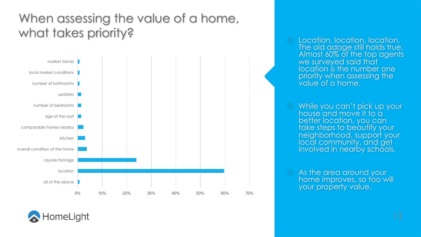#### When assessing the value of a home, what takes priority?



- Location, location, location. The old adage still holds true. Almost 60% of the top agents we surveyed said that location is the number one priority when assessing the value of a home.
- While you can't pick up your house and move it to a better location, you can take steps to beautify your neighborhood, support your local community, and get involved in nearby schools.
- As the area around your home improves, so too will your property value.

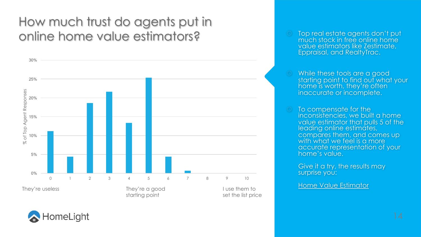#### How much trust do agents put in online home value estimators?

HomeLight



- Top real estate agents don't put much stock in free online home value estimators like Zestimate, Eppraisal, and RealtyTrac.
- While these tools are a good starting point to find out what your home is worth, they're often inaccurate or incomplete.
- To compensate for the inconsistencies, we built a home value estimator that pulls 5 of the leading online estimates, compares them, and comes up with what we feel is a more accurate representation of your home's value.

Give it a try, the results may surprise you:

Home Value Estimator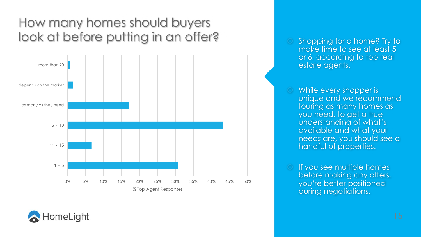#### How many homes should buyers look at before putting in an offer?



 Shopping for a home? Try to make time to see at least 5 or 6, according to top real estate agents.

 While every shopper is unique and we recommend touring as many homes as you need, to get a true understanding of what's available and what your needs are, you should see a handful of properties.

 If you see multiple homes before making any offers, you're better positioned during negotiations.

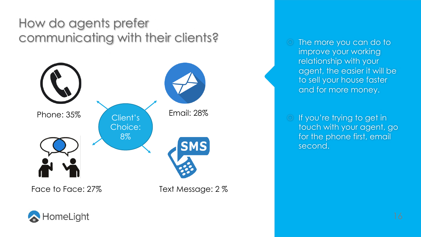#### How do agents prefer communicating with their clients?



 The more you can do to improve your working relationship with your agent, the easier it will be to sell your house faster and for more money.

 If you're trying to get in touch with your agent, go for the phone first, email second.

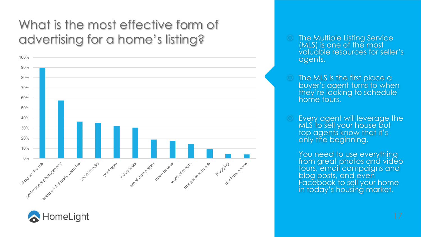#### What is the most effective form of advertising for a home's listing?





- **The Multiple Listing Service** (MLS) is one of the most valuable resources for seller's agents.
- The MLS is the first place a buyer's agent turns to when they're looking to schedule home tours.
- Every agent will leverage the MLS to sell your house but top agents know that it's only the beginning.

You need to use everything from great photos and video tours, email campaigns and blog posts, and even Facebook to sell your home in today's housing market.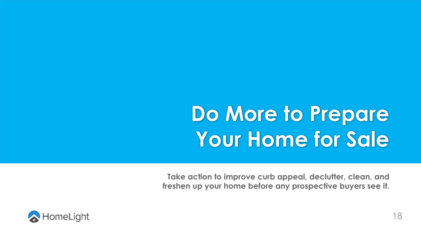## **Do More to Prepare Your Home for Sale**

**Take action to improve curb appeal, declutter, clean, and freshen up your home before any prospective buyers see it.**

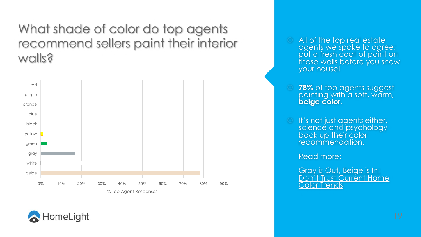#### What shade of color do top agents recommend sellers paint their interior walls?



- All of the top real estate agents we spoke to agree: put a fresh coat of paint on those walls before you show your house!
- **78%** of top agents suggest painting with a soft, warm, **beige color**.
- It's not just agents either, science and psychology back up their color recommendation.

Read more:

Gray is Out, Beige is In: Don't Trust Current Home Color Trends

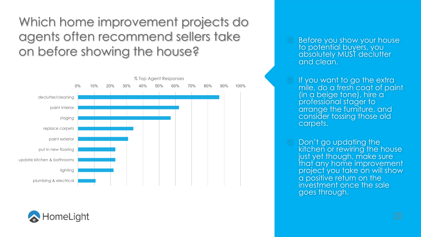Which home improvement projects do agents often recommend sellers take on before showing the house?





- Before you show your house to potential buyers, you absolutely MUST declutter and clean.
- If you want to go the extra mile, do a fresh coat of paint (in a beige tone), hire a professional stager to arrange the furniture, and consider tossing those old carpets.
- Don't go updating the kitchen or rewiring the house just yet though, make sure that any home improvement project you take on will show a positive return on the investment once the sale goes through.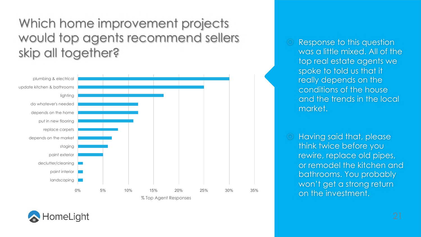Which home improvement projects would top agents recommend sellers skip all together?



 Response to this question was a little mixed. All of the top real estate agents we spoke to told us that it really depends on the conditions of the house and the trends in the local market.

 Having said that, please think twice before you rewire, replace old pipes, or remodel the kitchen and bathrooms. You probably won't get a strong return on the investment.

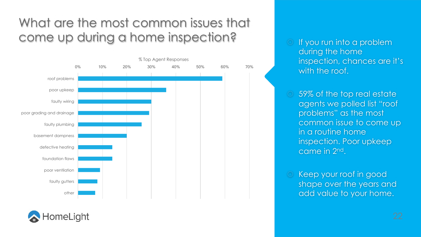#### What are the most common issues that come up during a home inspection?



HomeLight

- If you run into a problem during the home inspection, chances are it's with the roof.
- 59% of the top real estate agents we polled list "roof problems" as the most common issue to come up in a routine home inspection. Poor upkeep came in 2nd.
- Keep your roof in good shape over the years and add value to your home.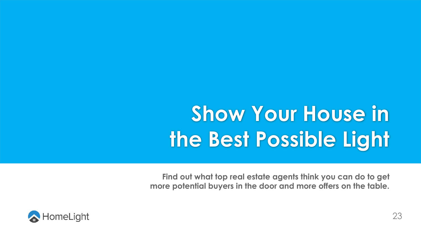## **Show Your House in the Best Possible Light**

**Find out what top real estate agents think you can do to get more potential buyers in the door and more offers on the table.**

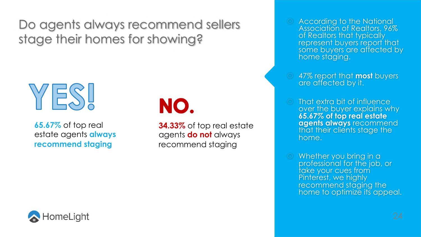Do agents always recommend sellers stage their homes for showing?



**65.67%** of top real estate agents **always recommend staging**

### NO.

**34.33%** of top real estate agents **do not** always recommend staging

- According to the National Association of Realtors, 96% of Realtors that typically represent buyers report that some buyers are affected by<br>home staging.
- 47% report that **most** buyers are affected by it.
- That extra bit of influence over the buyer explains why **65.67% of top real estate agents always** recommend that their clients stage the home.
- Whether you bring in a professional for the job, or take your cues from Pinterest, we highly recommend staging the home to optimize its appeal.

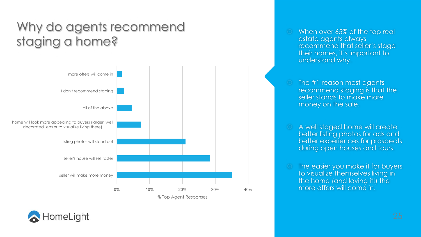#### Why do agents recommend staging a home?



- When over 65% of the top real estate agents always recommend that seller's stage their homes, it's important to understand why.
- The #1 reason most agents recommend staging is that the seller stands to make more money on the sale.
- A well staged home will create better listing photos for ads and better experiences for prospects during open houses and tours.
- The easier you make it for buyers to visualize themselves living in the home (and loving it!) the more offers will come in.

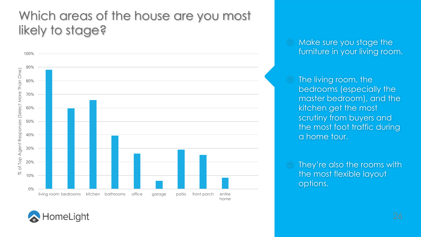#### Which areas of the house are you most likely to stage?



 Make sure you stage the furniture in your living room.

- The living room, the bedrooms (especially the master bedroom), and the kitchen get the most scrutiny from buyers and the most foot traffic during a home tour.
- They're also the rooms with the most flexible layout options.

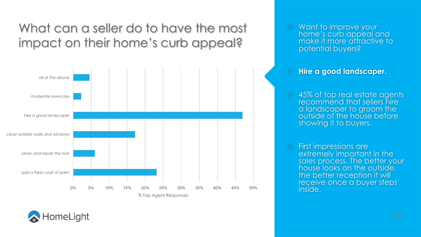#### What can a seller do to have the most impact on their home's curb appeal?



 Want to improve your home's curb appeal and make it more attractive to potential buyers?

#### **Hire a good landscaper.**

- 45% of top real estate agents recommend that sellers hire a landscaper to groom the outside of the house before showing it to buyers.
- First impressions are extremely important in the sales process. The better your house looks on the outside, the better reception it will receive once a buyer steps inside.

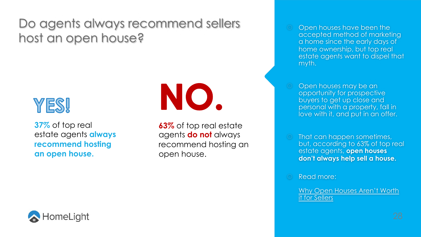#### Do agents always recommend sellers host an open house?



**37%** of top real estate agents **always recommend hosting an open house.**



**63%** of top real estate agents **do not** always recommend hosting an open house.

- Open houses have been the accepted method of marketing a home since the early days of home ownership, but top real estate agents want to dispel that myth.
- Open houses may be an opportunity for prospective buyers to get up close and personal with a property, fall in love with it, and put in an offer.
- That can happen sometimes, but, according to 63% of top real estate agents, **open houses don't always help sell a house.**
- Read more:

Why Open Houses Aren't Worth it for Sellers

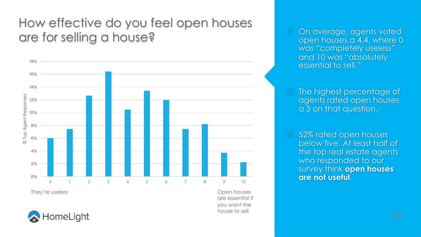#### How effective do you feel open houses are for selling a house?



They're useless and the settlement of the settlement of the settlement of the Spen houses

are essential if you want the house to sell



- On average, agents voted open houses a 4.4, where 0 was "completely useless" and 10 was "absolutely essential to sell."
- The highest percentage of agents rated open houses a 3 on that question.
- 52% rated open houses below five. At least half of the top real estate agents who responded to our survey think **open houses are not useful**.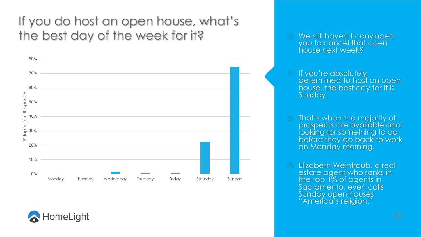#### If you do host an open house, what's the best day of the week for it?





- **If you're absolutely** determined to host an open house, the best day for it is Sunday.
- That's when the majority of prospects are available and looking for something to do before they go back to work on Monday morning.
- Elizabeth Weintraub, a real estate agent who ranks in the top 1% of agents in Sacramento, even calls Sunday open houses "America's religion."

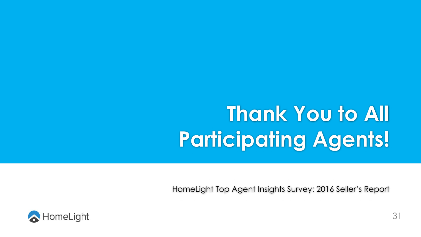## **Thank You to All Participating Agents!**

HomeLight Top Agent Insights Survey: 2016 Seller's Report

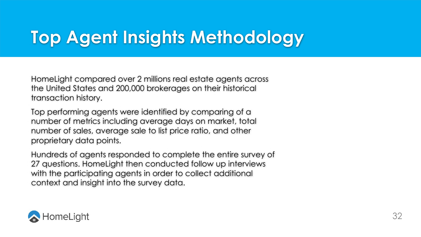### **Top Agent Insights Methodology**

HomeLight compared over 2 millions real estate agents across the United States and 200,000 brokerages on their historical transaction history.

Top performing agents were identified by comparing of a number of metrics including average days on market, total number of sales, average sale to list price ratio, and other proprietary data points.

Hundreds of agents responded to complete the entire survey of 27 questions. HomeLight then conducted follow up interviews with the participating agents in order to collect additional context and insight into the survey data.